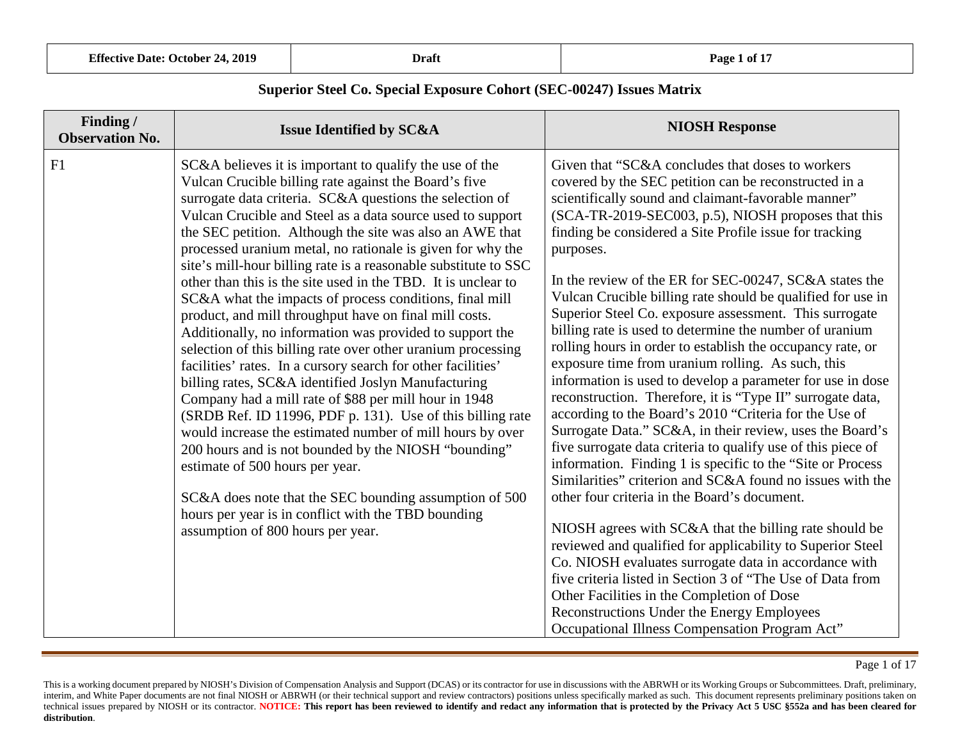| <b>Effective Date: October 24, 2019</b> | Draft | Page 1 of 17 |
|-----------------------------------------|-------|--------------|
|-----------------------------------------|-------|--------------|

| <b>NIOSH Response</b>                                                                                                                                                                                                                                                                                                                                                                                                                                                                                                                                                                                                                                                                                                                                                                                                                                                                                                                                                                                                                                                                                                                                                                                                                                                                                                                                                                                                                                                                                                                                       |
|-------------------------------------------------------------------------------------------------------------------------------------------------------------------------------------------------------------------------------------------------------------------------------------------------------------------------------------------------------------------------------------------------------------------------------------------------------------------------------------------------------------------------------------------------------------------------------------------------------------------------------------------------------------------------------------------------------------------------------------------------------------------------------------------------------------------------------------------------------------------------------------------------------------------------------------------------------------------------------------------------------------------------------------------------------------------------------------------------------------------------------------------------------------------------------------------------------------------------------------------------------------------------------------------------------------------------------------------------------------------------------------------------------------------------------------------------------------------------------------------------------------------------------------------------------------|
| Given that "SC&A concludes that doses to workers<br>covered by the SEC petition can be reconstructed in a<br>scientifically sound and claimant-favorable manner"<br>(SCA-TR-2019-SEC003, p.5), NIOSH proposes that this<br>finding be considered a Site Profile issue for tracking<br>purposes.<br>In the review of the ER for SEC-00247, SC&A states the<br>Vulcan Crucible billing rate should be qualified for use in<br>Superior Steel Co. exposure assessment. This surrogate<br>billing rate is used to determine the number of uranium<br>rolling hours in order to establish the occupancy rate, or<br>exposure time from uranium rolling. As such, this<br>information is used to develop a parameter for use in dose<br>reconstruction. Therefore, it is "Type II" surrogate data,<br>according to the Board's 2010 "Criteria for the Use of<br>Surrogate Data." SC&A, in their review, uses the Board's<br>five surrogate data criteria to qualify use of this piece of<br>information. Finding 1 is specific to the "Site or Process"<br>Similarities" criterion and SC&A found no issues with the<br>other four criteria in the Board's document.<br>NIOSH agrees with SC&A that the billing rate should be<br>reviewed and qualified for applicability to Superior Steel<br>Co. NIOSH evaluates surrogate data in accordance with<br>five criteria listed in Section 3 of "The Use of Data from<br>Other Facilities in the Completion of Dose<br>Reconstructions Under the Energy Employees<br>Occupational Illness Compensation Program Act" |
|                                                                                                                                                                                                                                                                                                                                                                                                                                                                                                                                                                                                                                                                                                                                                                                                                                                                                                                                                                                                                                                                                                                                                                                                                                                                                                                                                                                                                                                                                                                                                             |

Page 1 of 17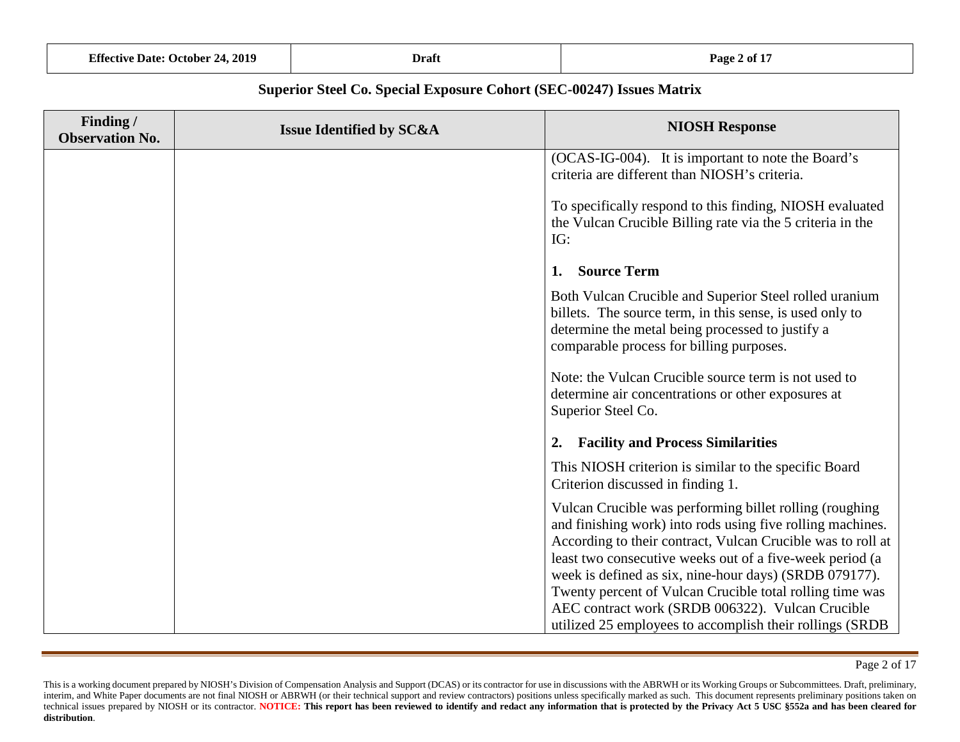|                                     | <b>Effective Date: October 24, 2019</b>                              | <b>Draft</b>                        | Page 2 of 17                                                                                                                  |
|-------------------------------------|----------------------------------------------------------------------|-------------------------------------|-------------------------------------------------------------------------------------------------------------------------------|
|                                     | Superior Steel Co. Special Exposure Cohort (SEC-00247) Issues Matrix |                                     |                                                                                                                               |
| Finding /<br><b>Observation No.</b> |                                                                      | <b>Issue Identified by SC&amp;A</b> | <b>NIOSH Response</b>                                                                                                         |
|                                     |                                                                      |                                     | (OCAS-IG-004). It is important to note the Board's<br>criteria are different than NIOSH's criteria.                           |
|                                     |                                                                      |                                     | To specifically respond to this finding, NIOSH evaluated<br>the Vulcan Crucible Billing rate via the 5 criteria in the<br>IG: |
|                                     |                                                                      |                                     | <b>Source Term</b>                                                                                                            |

Both Vulcan Crucible and Superior Steel rolled uranium billets. The source term, in this sense, is used only to determine the metal being processed to justify a comparable process for billing purposes.

Note: the Vulcan Crucible source term is not used to determine air concentrations or other exposures at Superior Steel Co.

#### **2. Facility and Process Similarities**

This NIOSH criterion is similar to the specific Board Criterion discussed in finding 1.

Vulcan Crucible was performing billet rolling (roughing and finishing work) into rods using five rolling machines. According to their contract, Vulcan Crucible was to roll at least two consecutive weeks out of a five-week period (a week is defined as six, nine-hour days) (SRDB 079177). Twenty percent of Vulcan Crucible total rolling time was AEC contract work (SRDB 006322). Vulcan Crucible utilized 25 employees to accomplish their rollings (SRDB

Page 2 of 17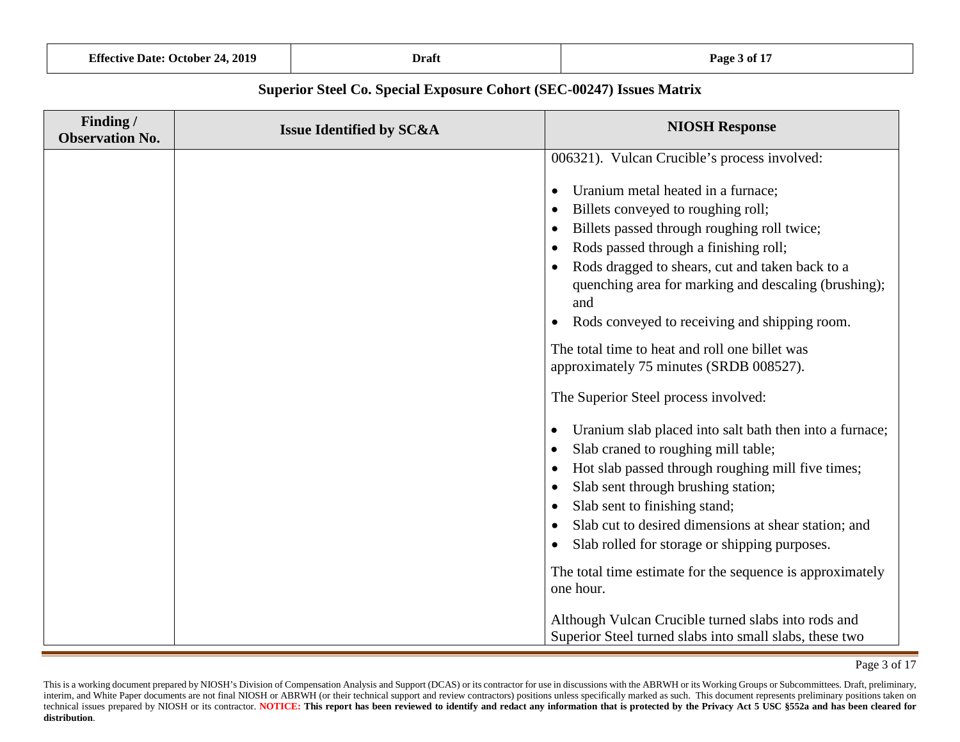| <b>Effective Date: October</b><br>24, 2019 | <b>Draft</b> | <b>C</b> 15<br>Page.<br>-3 of 1 |
|--------------------------------------------|--------------|---------------------------------|
|                                            |              |                                 |

| Finding /<br><b>Observation No.</b> | <b>Issue Identified by SC&amp;A</b> | <b>NIOSH Response</b>                                                                                                                                                                                                                                                                                                                                                                                                                                                                     |
|-------------------------------------|-------------------------------------|-------------------------------------------------------------------------------------------------------------------------------------------------------------------------------------------------------------------------------------------------------------------------------------------------------------------------------------------------------------------------------------------------------------------------------------------------------------------------------------------|
|                                     |                                     | 006321). Vulcan Crucible's process involved:                                                                                                                                                                                                                                                                                                                                                                                                                                              |
|                                     |                                     | Uranium metal heated in a furnace;<br>$\bullet$<br>Billets conveyed to roughing roll;<br>$\bullet$<br>Billets passed through roughing roll twice;<br>$\bullet$<br>Rods passed through a finishing roll;<br>$\bullet$<br>Rods dragged to shears, cut and taken back to a<br>quenching area for marking and descaling (brushing);<br>and<br>Rods conveyed to receiving and shipping room.<br>$\bullet$                                                                                      |
|                                     |                                     | The total time to heat and roll one billet was                                                                                                                                                                                                                                                                                                                                                                                                                                            |
|                                     |                                     | approximately 75 minutes (SRDB 008527).                                                                                                                                                                                                                                                                                                                                                                                                                                                   |
|                                     |                                     | The Superior Steel process involved:                                                                                                                                                                                                                                                                                                                                                                                                                                                      |
|                                     |                                     | Uranium slab placed into salt bath then into a furnace;<br>٠<br>Slab craned to roughing mill table;<br>٠<br>Hot slab passed through roughing mill five times;<br>$\bullet$<br>Slab sent through brushing station;<br>$\bullet$<br>Slab sent to finishing stand;<br>$\bullet$<br>Slab cut to desired dimensions at shear station; and<br>$\bullet$<br>Slab rolled for storage or shipping purposes.<br>$\bullet$<br>The total time estimate for the sequence is approximately<br>one hour. |
|                                     |                                     | Although Vulcan Crucible turned slabs into rods and<br>Superior Steel turned slabs into small slabs, these two                                                                                                                                                                                                                                                                                                                                                                            |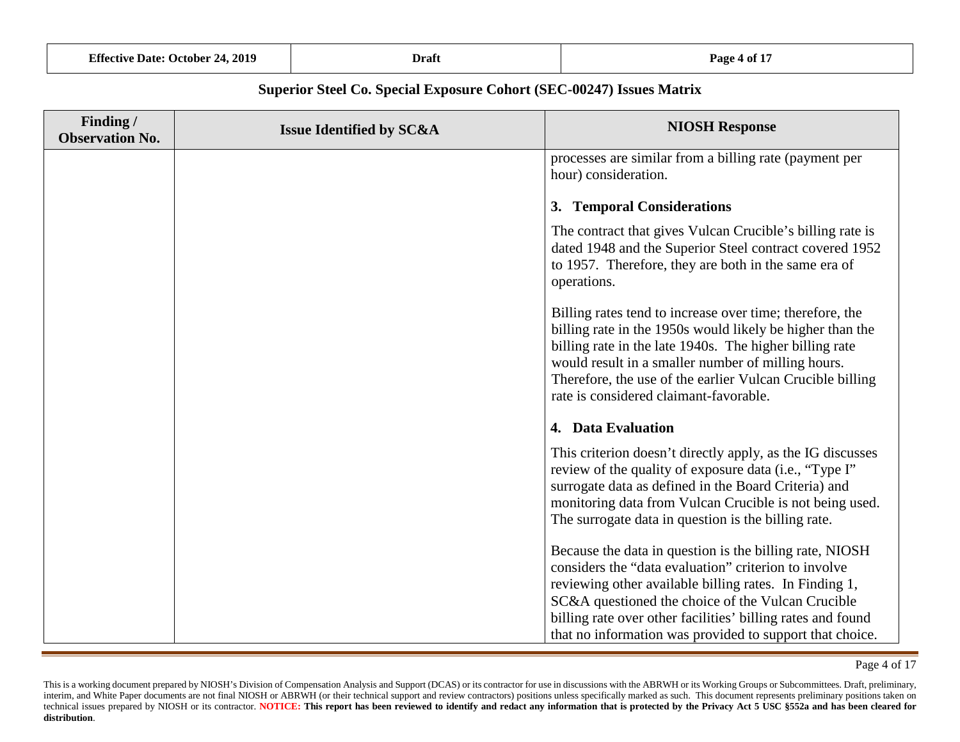| <b>Effective Date: October 24, 2019</b>                              | <b>Draft</b>                        | Page 4 of 17                                                                                                                                                                                                                                                                                                                                  |  |
|----------------------------------------------------------------------|-------------------------------------|-----------------------------------------------------------------------------------------------------------------------------------------------------------------------------------------------------------------------------------------------------------------------------------------------------------------------------------------------|--|
| Superior Steel Co. Special Exposure Cohort (SEC-00247) Issues Matrix |                                     |                                                                                                                                                                                                                                                                                                                                               |  |
| Finding /<br><b>Observation No.</b>                                  | <b>Issue Identified by SC&amp;A</b> | <b>NIOSH Response</b>                                                                                                                                                                                                                                                                                                                         |  |
|                                                                      |                                     | processes are similar from a billing rate (payment per<br>hour) consideration.                                                                                                                                                                                                                                                                |  |
|                                                                      |                                     | 3. Temporal Considerations                                                                                                                                                                                                                                                                                                                    |  |
|                                                                      |                                     | The contract that gives Vulcan Crucible's billing rate is<br>dated 1948 and the Superior Steel contract covered 1952<br>to 1957. Therefore, they are both in the same era of<br>operations.                                                                                                                                                   |  |
|                                                                      |                                     | Billing rates tend to increase over time; therefore, the<br>billing rate in the 1950s would likely be higher than the<br>billing rate in the late 1940s. The higher billing rate<br>would result in a smaller number of milling hours.<br>Therefore, the use of the earlier Vulcan Crucible billing<br>rate is considered claimant-favorable. |  |
|                                                                      |                                     | 4. Data Evaluation                                                                                                                                                                                                                                                                                                                            |  |
|                                                                      |                                     | This criterion doesn't directly apply, as the IG discusses<br>review of the quality of exposure data (i.e., "Type I"<br>surrogate data as defined in the Board Criteria) and<br>monitoring data from Vulcan Crucible is not being used.<br>The surrogate data in question is the billing rate.                                                |  |
|                                                                      |                                     |                                                                                                                                                                                                                                                                                                                                               |  |

Because the data in question is the billing rate, NIOSH considers the "data evaluation" criterion to involve reviewing other available billing rates. In Finding 1, SC&A questioned the choice of the Vulcan Crucible billing rate over other facilities' billing rates and found that no information was provided to support that choice.

This is a working document prepared by NIOSH's Division of Compensation Analysis and Support (DCAS) or its contractor for use in discussions with the ABRWH or its Working Groups or Subcommittees. Draft, preliminary, interim, and White Paper documents are not final NIOSH or ABRWH (or their technical support and review contractors) positions unless specifically marked as such. This document represents preliminary positions taken on technical issues prepared by NIOSH or its contractor. NOTICE: This report has been reviewed to identify and redact any information that is protected by the Privacy Act 5 USC \$552a and has been cleared for **distribution**.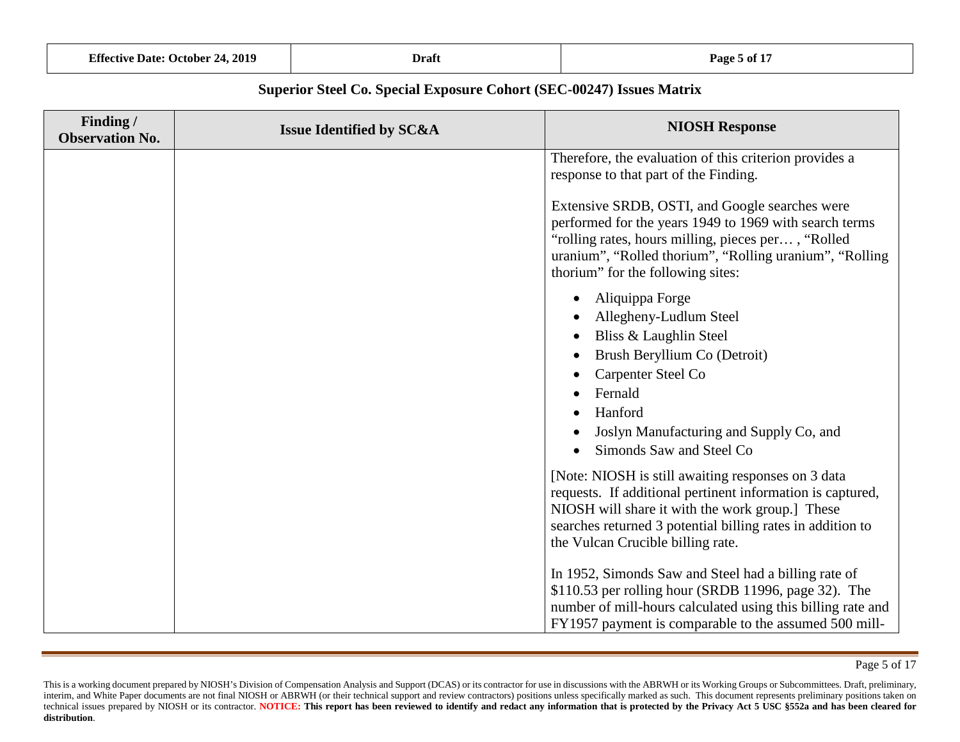| <b>Effective Date: October 24, 2019</b> | Draft | Page 5 of 17 |
|-----------------------------------------|-------|--------------|
|-----------------------------------------|-------|--------------|

| Finding /<br><b>Observation No.</b> | <b>Issue Identified by SC&amp;A</b> | <b>NIOSH Response</b>                                                                                                                                                                                                                                                  |
|-------------------------------------|-------------------------------------|------------------------------------------------------------------------------------------------------------------------------------------------------------------------------------------------------------------------------------------------------------------------|
|                                     |                                     | Therefore, the evaluation of this criterion provides a<br>response to that part of the Finding.                                                                                                                                                                        |
|                                     |                                     | Extensive SRDB, OSTI, and Google searches were<br>performed for the years 1949 to 1969 with search terms<br>"rolling rates, hours milling, pieces per, "Rolled<br>uranium", "Rolled thorium", "Rolling uranium", "Rolling<br>thorium" for the following sites:         |
|                                     |                                     | Aliquippa Forge<br>Allegheny-Ludlum Steel<br>Bliss & Laughlin Steel<br>Brush Beryllium Co (Detroit)<br>Carpenter Steel Co<br>Fernald<br>Hanford<br>Joslyn Manufacturing and Supply Co, and<br>Simonds Saw and Steel Co                                                 |
|                                     |                                     | [Note: NIOSH is still awaiting responses on 3 data<br>requests. If additional pertinent information is captured,<br>NIOSH will share it with the work group.] These<br>searches returned 3 potential billing rates in addition to<br>the Vulcan Crucible billing rate. |
|                                     |                                     | In 1952, Simonds Saw and Steel had a billing rate of<br>\$110.53 per rolling hour (SRDB 11996, page 32). The<br>number of mill-hours calculated using this billing rate and<br>FY1957 payment is comparable to the assumed 500 mill-                                   |

Page 5 of 17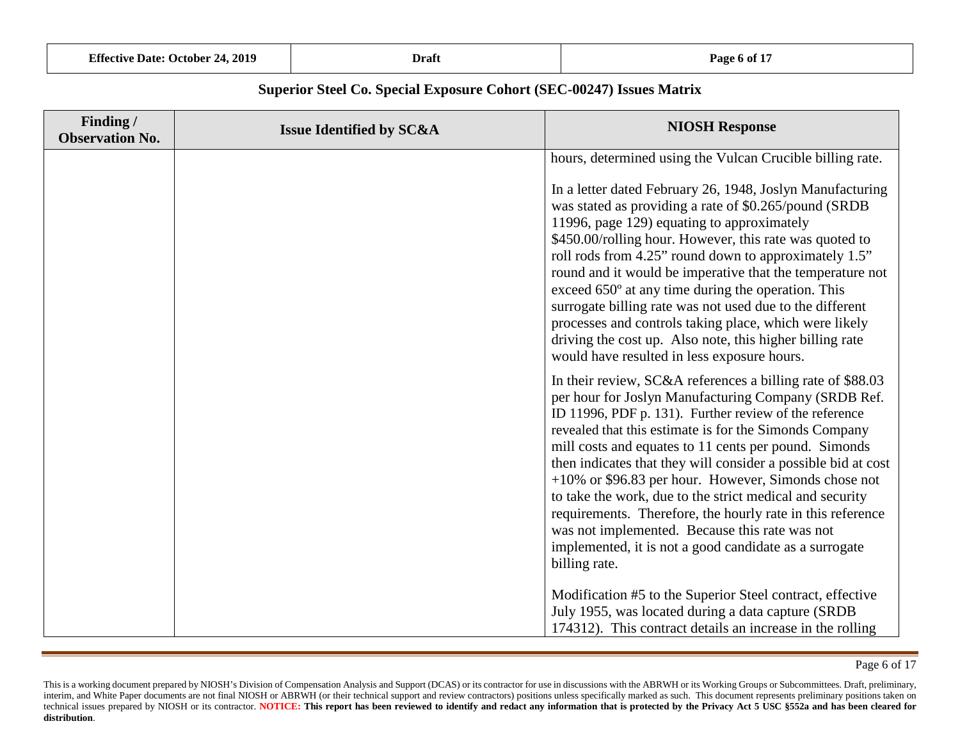| <b>Effective Date: October 24, 2019</b> | Draft | Page 6 of 17 |
|-----------------------------------------|-------|--------------|
|-----------------------------------------|-------|--------------|

| Finding /<br><b>Observation No.</b> | <b>Issue Identified by SC&amp;A</b> | <b>NIOSH Response</b>                                                                                                                                                                                                                                                                                                                                                                                                                                                                                                                                                                                                                                                                                                                                                                                                                                              |
|-------------------------------------|-------------------------------------|--------------------------------------------------------------------------------------------------------------------------------------------------------------------------------------------------------------------------------------------------------------------------------------------------------------------------------------------------------------------------------------------------------------------------------------------------------------------------------------------------------------------------------------------------------------------------------------------------------------------------------------------------------------------------------------------------------------------------------------------------------------------------------------------------------------------------------------------------------------------|
|                                     |                                     | hours, determined using the Vulcan Crucible billing rate.<br>In a letter dated February 26, 1948, Joslyn Manufacturing<br>was stated as providing a rate of \$0.265/pound (SRDB)<br>11996, page 129) equating to approximately<br>\$450.00/rolling hour. However, this rate was quoted to<br>roll rods from 4.25" round down to approximately 1.5"<br>round and it would be imperative that the temperature not<br>exceed 650° at any time during the operation. This<br>surrogate billing rate was not used due to the different<br>processes and controls taking place, which were likely<br>driving the cost up. Also note, this higher billing rate<br>would have resulted in less exposure hours.                                                                                                                                                             |
|                                     |                                     | In their review, SC&A references a billing rate of \$88.03<br>per hour for Joslyn Manufacturing Company (SRDB Ref.<br>ID 11996, PDF p. 131). Further review of the reference<br>revealed that this estimate is for the Simonds Company<br>mill costs and equates to 11 cents per pound. Simonds<br>then indicates that they will consider a possible bid at cost<br>$+10\%$ or \$96.83 per hour. However, Simonds chose not<br>to take the work, due to the strict medical and security<br>requirements. Therefore, the hourly rate in this reference<br>was not implemented. Because this rate was not<br>implemented, it is not a good candidate as a surrogate<br>billing rate.<br>Modification #5 to the Superior Steel contract, effective<br>July 1955, was located during a data capture (SRDB<br>174312). This contract details an increase in the rolling |

This is a working document prepared by NIOSH's Division of Compensation Analysis and Support (DCAS) or its contractor for use in discussions with the ABRWH or its Working Groups or Subcommittees. Draft, preliminary, interim, and White Paper documents are not final NIOSH or ABRWH (or their technical support and review contractors) positions unless specifically marked as such. This document represents preliminary positions taken on technical issues prepared by NIOSH or its contractor. NOTICE: This report has been reviewed to identify and redact any information that is protected by the Privacy Act 5 USC \$552a and has been cleared for **distribution**.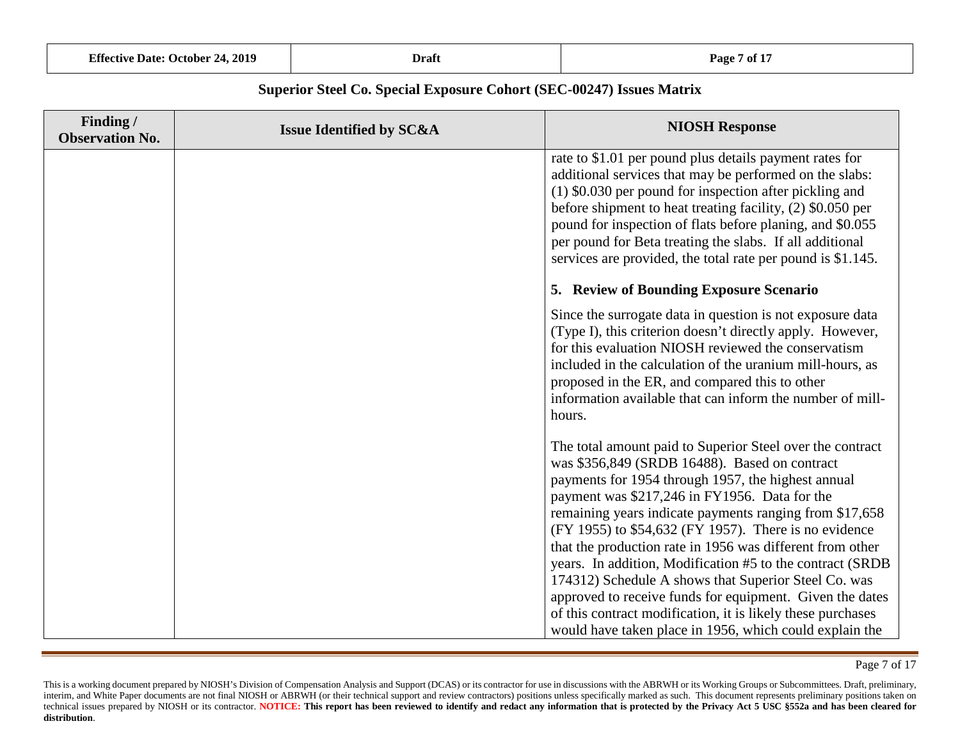| <b>Effective Date: October 24, 2019</b> | Draft | <b>Page 7 of 17</b> |
|-----------------------------------------|-------|---------------------|
|-----------------------------------------|-------|---------------------|

| Finding/<br><b>Observation No.</b> | <b>Issue Identified by SC&amp;A</b> | <b>NIOSH Response</b>                                                                                                                                                                                                                                                                                                                                                                                                                                                                                                                                                                                                                               |
|------------------------------------|-------------------------------------|-----------------------------------------------------------------------------------------------------------------------------------------------------------------------------------------------------------------------------------------------------------------------------------------------------------------------------------------------------------------------------------------------------------------------------------------------------------------------------------------------------------------------------------------------------------------------------------------------------------------------------------------------------|
|                                    |                                     | rate to \$1.01 per pound plus details payment rates for<br>additional services that may be performed on the slabs:<br>(1) \$0.030 per pound for inspection after pickling and<br>before shipment to heat treating facility, (2) \$0.050 per<br>pound for inspection of flats before planing, and \$0.055<br>per pound for Beta treating the slabs. If all additional<br>services are provided, the total rate per pound is \$1.145.                                                                                                                                                                                                                 |
|                                    |                                     | 5. Review of Bounding Exposure Scenario                                                                                                                                                                                                                                                                                                                                                                                                                                                                                                                                                                                                             |
|                                    |                                     | Since the surrogate data in question is not exposure data<br>(Type I), this criterion doesn't directly apply. However,<br>for this evaluation NIOSH reviewed the conservatism<br>included in the calculation of the uranium mill-hours, as<br>proposed in the ER, and compared this to other<br>information available that can inform the number of mill-<br>hours.                                                                                                                                                                                                                                                                                 |
|                                    |                                     | The total amount paid to Superior Steel over the contract<br>was \$356,849 (SRDB 16488). Based on contract<br>payments for 1954 through 1957, the highest annual<br>payment was \$217,246 in FY1956. Data for the<br>remaining years indicate payments ranging from \$17,658<br>(FY 1955) to \$54,632 (FY 1957). There is no evidence<br>that the production rate in 1956 was different from other<br>years. In addition, Modification #5 to the contract (SRDB)<br>174312) Schedule A shows that Superior Steel Co. was<br>approved to receive funds for equipment. Given the dates<br>of this contract modification, it is likely these purchases |
|                                    |                                     | would have taken place in 1956, which could explain the                                                                                                                                                                                                                                                                                                                                                                                                                                                                                                                                                                                             |

Page 7 of 17

This is a working document prepared by NIOSH's Division of Compensation Analysis and Support (DCAS) or its contractor for use in discussions with the ABRWH or its Working Groups or Subcommittees. Draft, preliminary, interim, and White Paper documents are not final NIOSH or ABRWH (or their technical support and review contractors) positions unless specifically marked as such. This document represents preliminary positions taken on technical issues prepared by NIOSH or its contractor. NOTICE: This report has been reviewed to identify and redact any information that is protected by the Privacy Act 5 USC \$552a and has been cleared for **distribution**.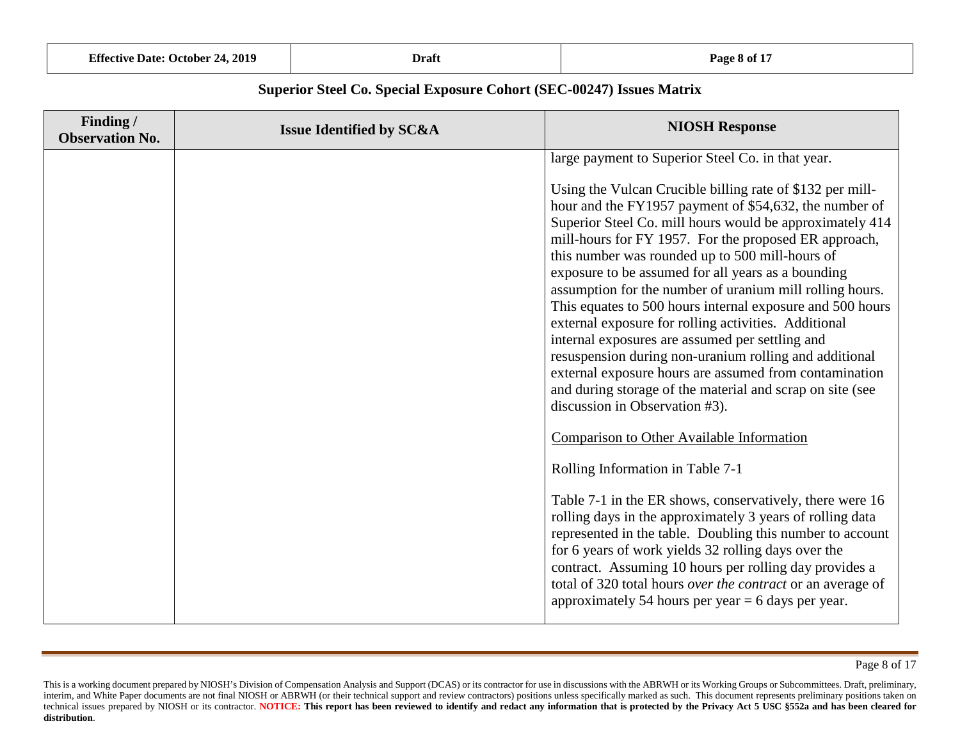| <b>Effective Date: October 24, 2019</b> | Draft | Page 8 of 17 |
|-----------------------------------------|-------|--------------|
|-----------------------------------------|-------|--------------|

| Finding /<br><b>Observation No.</b> | <b>Issue Identified by SC&amp;A</b> | <b>NIOSH Response</b>                                                                                                                                                                                                                                                                                                                                                                                                                                                                                     |
|-------------------------------------|-------------------------------------|-----------------------------------------------------------------------------------------------------------------------------------------------------------------------------------------------------------------------------------------------------------------------------------------------------------------------------------------------------------------------------------------------------------------------------------------------------------------------------------------------------------|
|                                     |                                     | large payment to Superior Steel Co. in that year.<br>Using the Vulcan Crucible billing rate of \$132 per mill-<br>hour and the FY1957 payment of \$54,632, the number of<br>Superior Steel Co. mill hours would be approximately 414<br>mill-hours for FY 1957. For the proposed ER approach,<br>this number was rounded up to 500 mill-hours of                                                                                                                                                          |
|                                     |                                     | exposure to be assumed for all years as a bounding<br>assumption for the number of uranium mill rolling hours.<br>This equates to 500 hours internal exposure and 500 hours<br>external exposure for rolling activities. Additional<br>internal exposures are assumed per settling and<br>resuspension during non-uranium rolling and additional<br>external exposure hours are assumed from contamination<br>and during storage of the material and scrap on site (see<br>discussion in Observation #3). |
|                                     |                                     | <b>Comparison to Other Available Information</b>                                                                                                                                                                                                                                                                                                                                                                                                                                                          |
|                                     |                                     | Rolling Information in Table 7-1<br>Table 7-1 in the ER shows, conservatively, there were 16<br>rolling days in the approximately 3 years of rolling data<br>represented in the table. Doubling this number to account<br>for 6 years of work yields 32 rolling days over the<br>contract. Assuming 10 hours per rolling day provides a<br>total of 320 total hours over the contract or an average of<br>approximately 54 hours per year $= 6$ days per year.                                            |

This is a working document prepared by NIOSH's Division of Compensation Analysis and Support (DCAS) or its contractor for use in discussions with the ABRWH or its Working Groups or Subcommittees. Draft, preliminary, interim, and White Paper documents are not final NIOSH or ABRWH (or their technical support and review contractors) positions unless specifically marked as such. This document represents preliminary positions taken on technical issues prepared by NIOSH or its contractor. NOTICE: This report has been reviewed to identify and redact any information that is protected by the Privacy Act 5 USC \$552a and has been cleared for **distribution**.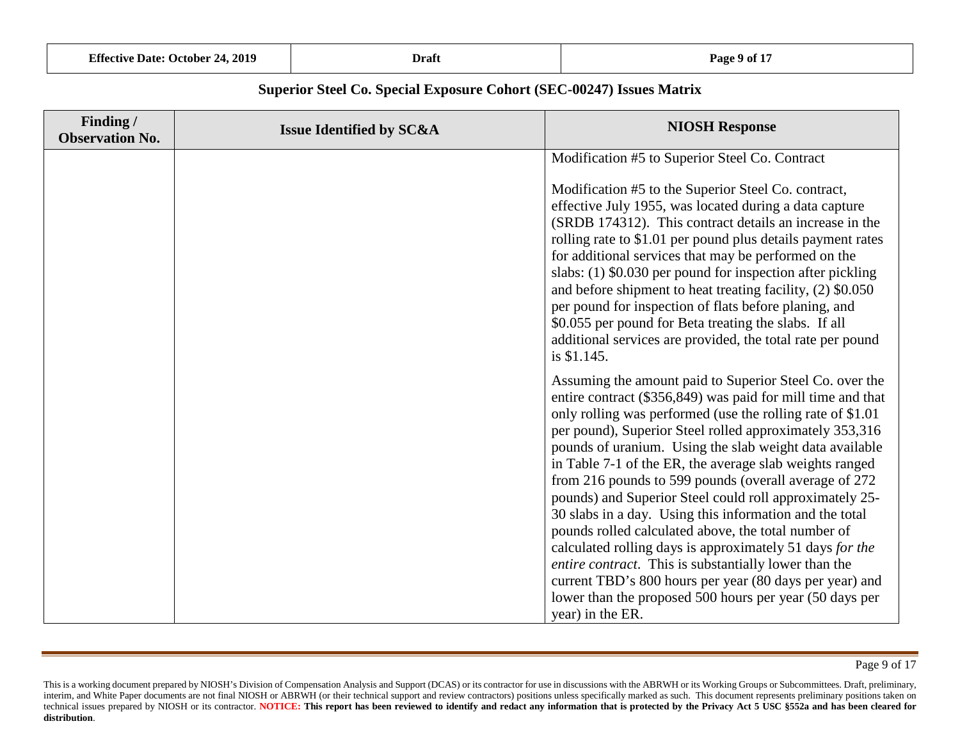| <b>Effective Date: October 24, 2019</b> | Draft | Page 9 of 17 |
|-----------------------------------------|-------|--------------|
|-----------------------------------------|-------|--------------|

| Finding /<br><b>Observation No.</b> | <b>Issue Identified by SC&amp;A</b> | <b>NIOSH Response</b>                                                                                                                                                                                                                                                                                                                                                                                                                                                                                                                                                                                                                                                                                                                                                                                                                                   |
|-------------------------------------|-------------------------------------|---------------------------------------------------------------------------------------------------------------------------------------------------------------------------------------------------------------------------------------------------------------------------------------------------------------------------------------------------------------------------------------------------------------------------------------------------------------------------------------------------------------------------------------------------------------------------------------------------------------------------------------------------------------------------------------------------------------------------------------------------------------------------------------------------------------------------------------------------------|
|                                     |                                     | Modification #5 to Superior Steel Co. Contract                                                                                                                                                                                                                                                                                                                                                                                                                                                                                                                                                                                                                                                                                                                                                                                                          |
|                                     |                                     | Modification #5 to the Superior Steel Co. contract,<br>effective July 1955, was located during a data capture<br>(SRDB 174312). This contract details an increase in the<br>rolling rate to \$1.01 per pound plus details payment rates<br>for additional services that may be performed on the<br>slabs: $(1)$ \$0.030 per pound for inspection after pickling<br>and before shipment to heat treating facility, (2) \$0.050<br>per pound for inspection of flats before planing, and<br>\$0.055 per pound for Beta treating the slabs. If all<br>additional services are provided, the total rate per pound<br>is \$1.145.                                                                                                                                                                                                                            |
|                                     |                                     | Assuming the amount paid to Superior Steel Co. over the<br>entire contract (\$356,849) was paid for mill time and that<br>only rolling was performed (use the rolling rate of \$1.01)<br>per pound), Superior Steel rolled approximately 353,316<br>pounds of uranium. Using the slab weight data available<br>in Table 7-1 of the ER, the average slab weights ranged<br>from 216 pounds to 599 pounds (overall average of 272<br>pounds) and Superior Steel could roll approximately 25-<br>30 slabs in a day. Using this information and the total<br>pounds rolled calculated above, the total number of<br>calculated rolling days is approximately 51 days for the<br>entire contract. This is substantially lower than the<br>current TBD's 800 hours per year (80 days per year) and<br>lower than the proposed 500 hours per year (50 days per |
|                                     |                                     | year) in the ER.                                                                                                                                                                                                                                                                                                                                                                                                                                                                                                                                                                                                                                                                                                                                                                                                                                        |

This is a working document prepared by NIOSH's Division of Compensation Analysis and Support (DCAS) or its contractor for use in discussions with the ABRWH or its Working Groups or Subcommittees. Draft, preliminary, interim, and White Paper documents are not final NIOSH or ABRWH (or their technical support and review contractors) positions unless specifically marked as such. This document represents preliminary positions taken on technical issues prepared by NIOSH or its contractor. NOTICE: This report has been reviewed to identify and redact any information that is protected by the Privacy Act 5 USC \$552a and has been cleared for **distribution**.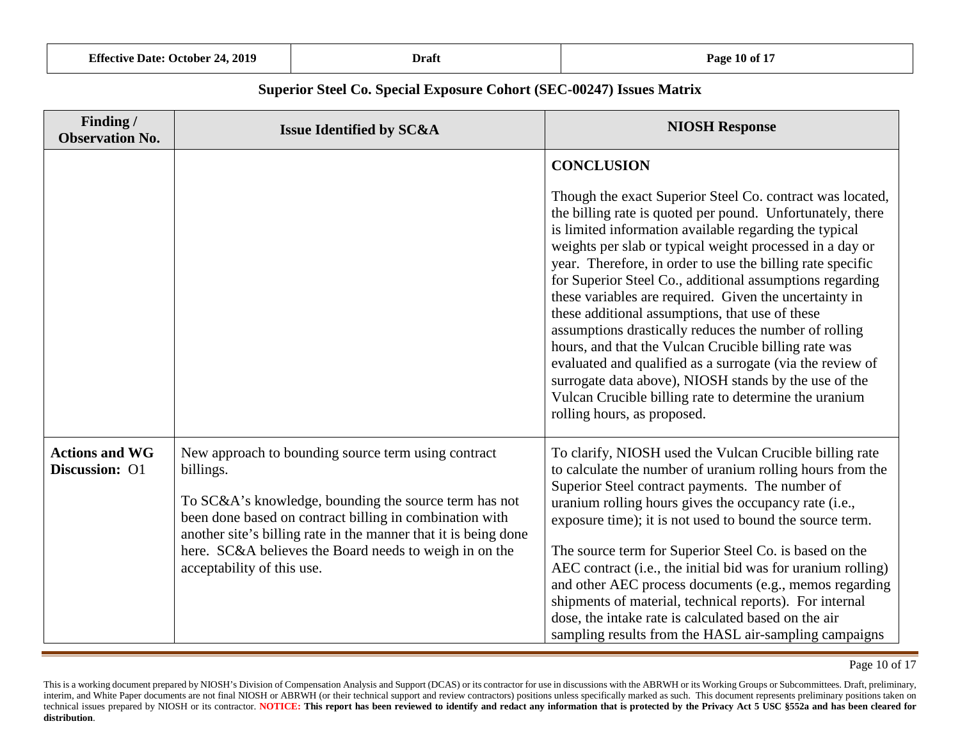| <b>Effective Date: October 24, 2019</b> | Draft | Page 10 of 17 |
|-----------------------------------------|-------|---------------|
|-----------------------------------------|-------|---------------|

| Finding /<br><b>Observation No.</b>     | <b>Issue Identified by SC&amp;A</b>                                                                                                                                                                                                                                                                               | <b>NIOSH Response</b>                                                                                                                                                                                                                                                                                                                                                                                                                                                                                                                                                                                                                                                                   |
|-----------------------------------------|-------------------------------------------------------------------------------------------------------------------------------------------------------------------------------------------------------------------------------------------------------------------------------------------------------------------|-----------------------------------------------------------------------------------------------------------------------------------------------------------------------------------------------------------------------------------------------------------------------------------------------------------------------------------------------------------------------------------------------------------------------------------------------------------------------------------------------------------------------------------------------------------------------------------------------------------------------------------------------------------------------------------------|
|                                         |                                                                                                                                                                                                                                                                                                                   | <b>CONCLUSION</b><br>Though the exact Superior Steel Co. contract was located,<br>the billing rate is quoted per pound. Unfortunately, there<br>is limited information available regarding the typical<br>weights per slab or typical weight processed in a day or<br>year. Therefore, in order to use the billing rate specific<br>for Superior Steel Co., additional assumptions regarding<br>these variables are required. Given the uncertainty in<br>these additional assumptions, that use of these<br>assumptions drastically reduces the number of rolling<br>hours, and that the Vulcan Crucible billing rate was<br>evaluated and qualified as a surrogate (via the review of |
|                                         |                                                                                                                                                                                                                                                                                                                   | surrogate data above), NIOSH stands by the use of the<br>Vulcan Crucible billing rate to determine the uranium<br>rolling hours, as proposed.                                                                                                                                                                                                                                                                                                                                                                                                                                                                                                                                           |
| <b>Actions and WG</b><br>Discussion: O1 | New approach to bounding source term using contract<br>billings.<br>To SC&A's knowledge, bounding the source term has not<br>been done based on contract billing in combination with<br>another site's billing rate in the manner that it is being done<br>here. SC&A believes the Board needs to weigh in on the | To clarify, NIOSH used the Vulcan Crucible billing rate<br>to calculate the number of uranium rolling hours from the<br>Superior Steel contract payments. The number of<br>uranium rolling hours gives the occupancy rate (i.e.,<br>exposure time); it is not used to bound the source term.<br>The source term for Superior Steel Co. is based on the                                                                                                                                                                                                                                                                                                                                  |
|                                         | acceptability of this use.                                                                                                                                                                                                                                                                                        | AEC contract (i.e., the initial bid was for uranium rolling)<br>and other AEC process documents (e.g., memos regarding<br>shipments of material, technical reports). For internal<br>dose, the intake rate is calculated based on the air<br>sampling results from the HASL air-sampling campaigns                                                                                                                                                                                                                                                                                                                                                                                      |

Page 10 of 17

This is a working document prepared by NIOSH's Division of Compensation Analysis and Support (DCAS) or its contractor for use in discussions with the ABRWH or its Working Groups or Subcommittees. Draft, preliminary, interim, and White Paper documents are not final NIOSH or ABRWH (or their technical support and review contractors) positions unless specifically marked as such. This document represents preliminary positions taken on technical issues prepared by NIOSH or its contractor. NOTICE: This report has been reviewed to identify and redact any information that is protected by the Privacy Act 5 USC \$552a and has been cleared for **distribution**.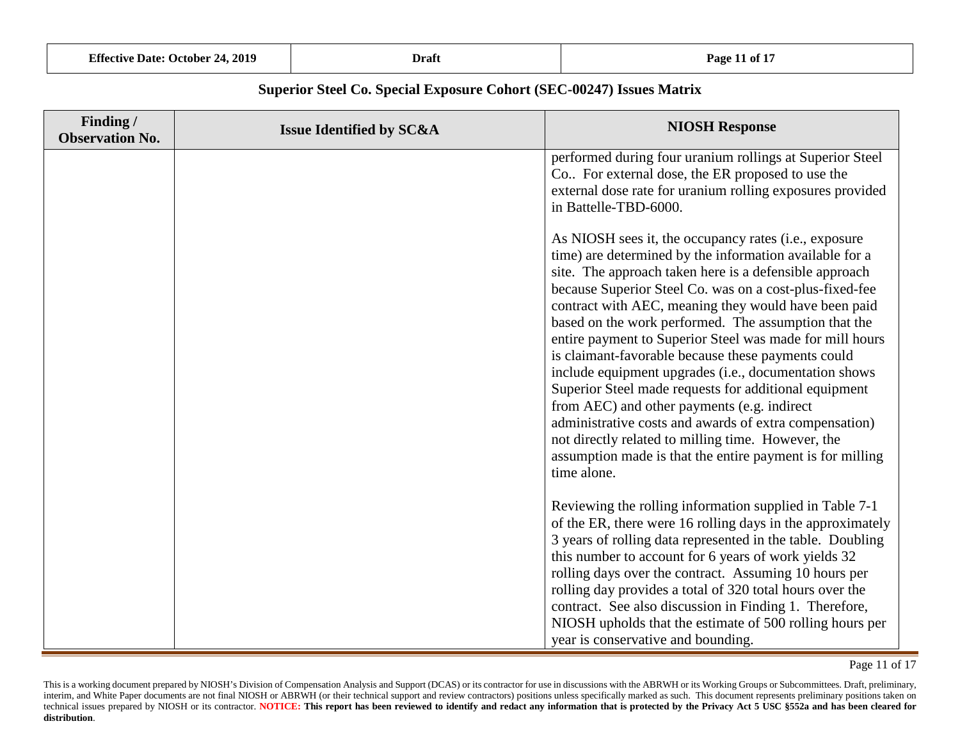| <b>Effective Date: October 24, 2019</b> |  |  |
|-----------------------------------------|--|--|
|                                         |  |  |

| Finding /<br><b>Observation No.</b> | <b>Issue Identified by SC&amp;A</b> | <b>NIOSH Response</b>                                                                                                                                                                                                                                                                                                                                                                                                                                                                                                                                                                                                                                                                                                                                                                                                                |
|-------------------------------------|-------------------------------------|--------------------------------------------------------------------------------------------------------------------------------------------------------------------------------------------------------------------------------------------------------------------------------------------------------------------------------------------------------------------------------------------------------------------------------------------------------------------------------------------------------------------------------------------------------------------------------------------------------------------------------------------------------------------------------------------------------------------------------------------------------------------------------------------------------------------------------------|
|                                     |                                     | performed during four uranium rollings at Superior Steel<br>Co For external dose, the ER proposed to use the<br>external dose rate for uranium rolling exposures provided<br>in Battelle-TBD-6000.                                                                                                                                                                                                                                                                                                                                                                                                                                                                                                                                                                                                                                   |
|                                     |                                     | As NIOSH sees it, the occupancy rates (i.e., exposure<br>time) are determined by the information available for a<br>site. The approach taken here is a defensible approach<br>because Superior Steel Co. was on a cost-plus-fixed-fee<br>contract with AEC, meaning they would have been paid<br>based on the work performed. The assumption that the<br>entire payment to Superior Steel was made for mill hours<br>is claimant-favorable because these payments could<br>include equipment upgrades (i.e., documentation shows<br>Superior Steel made requests for additional equipment<br>from AEC) and other payments (e.g. indirect<br>administrative costs and awards of extra compensation)<br>not directly related to milling time. However, the<br>assumption made is that the entire payment is for milling<br>time alone. |
|                                     |                                     | Reviewing the rolling information supplied in Table 7-1<br>of the ER, there were 16 rolling days in the approximately<br>3 years of rolling data represented in the table. Doubling<br>this number to account for 6 years of work yields 32<br>rolling days over the contract. Assuming 10 hours per<br>rolling day provides a total of 320 total hours over the<br>contract. See also discussion in Finding 1. Therefore,<br>NIOSH upholds that the estimate of 500 rolling hours per<br>year is conservative and bounding.                                                                                                                                                                                                                                                                                                         |

Page 11 of 17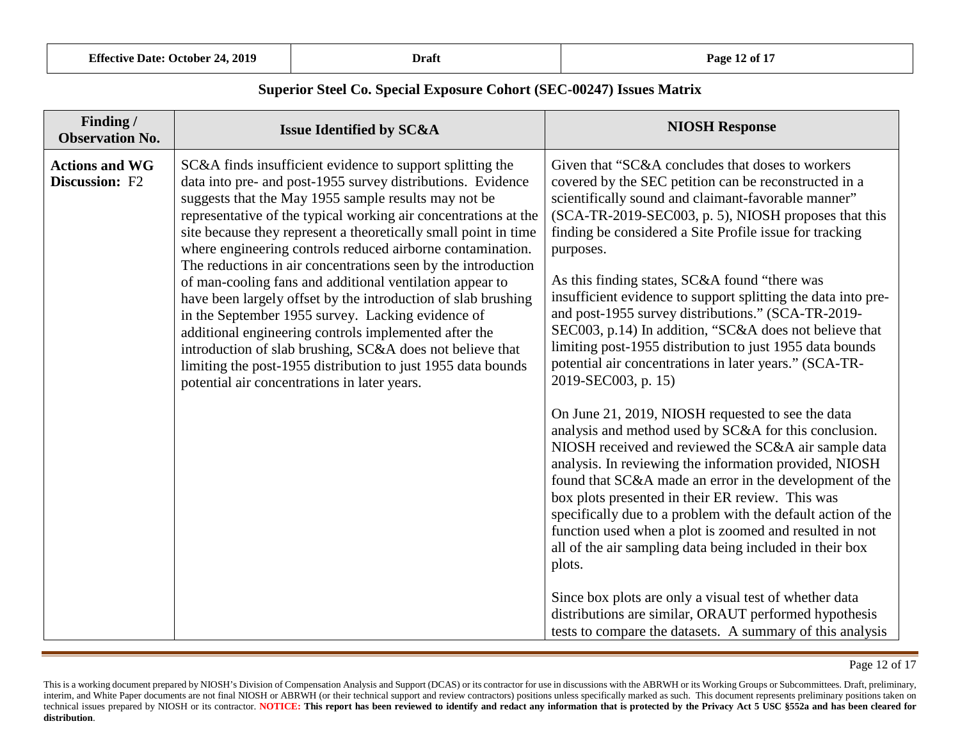| <b>Effective Date: October 24, 2019</b> | Draft | Page 12 of 17 |
|-----------------------------------------|-------|---------------|
|-----------------------------------------|-------|---------------|

| Finding /<br><b>Observation No.</b>     | <b>Issue Identified by SC&amp;A</b>                                                                                                                                                                                                                                                                                                                                                                                                                                                                                                                                                                                                                                                                                                                                                                                                                                           | <b>NIOSH Response</b>                                                                                                                                                                                                                                                                                                                                                                                                                                                                                                                                                                                                                                                                                                        |
|-----------------------------------------|-------------------------------------------------------------------------------------------------------------------------------------------------------------------------------------------------------------------------------------------------------------------------------------------------------------------------------------------------------------------------------------------------------------------------------------------------------------------------------------------------------------------------------------------------------------------------------------------------------------------------------------------------------------------------------------------------------------------------------------------------------------------------------------------------------------------------------------------------------------------------------|------------------------------------------------------------------------------------------------------------------------------------------------------------------------------------------------------------------------------------------------------------------------------------------------------------------------------------------------------------------------------------------------------------------------------------------------------------------------------------------------------------------------------------------------------------------------------------------------------------------------------------------------------------------------------------------------------------------------------|
| <b>Actions and WG</b><br>Discussion: F2 | SC&A finds insufficient evidence to support splitting the<br>data into pre- and post-1955 survey distributions. Evidence<br>suggests that the May 1955 sample results may not be<br>representative of the typical working air concentrations at the<br>site because they represent a theoretically small point in time<br>where engineering controls reduced airborne contamination.<br>The reductions in air concentrations seen by the introduction<br>of man-cooling fans and additional ventilation appear to<br>have been largely offset by the introduction of slab brushing<br>in the September 1955 survey. Lacking evidence of<br>additional engineering controls implemented after the<br>introduction of slab brushing, SC&A does not believe that<br>limiting the post-1955 distribution to just 1955 data bounds<br>potential air concentrations in later years. | Given that "SC&A concludes that doses to workers"<br>covered by the SEC petition can be reconstructed in a<br>scientifically sound and claimant-favorable manner"<br>(SCA-TR-2019-SEC003, p. 5), NIOSH proposes that this<br>finding be considered a Site Profile issue for tracking<br>purposes.<br>As this finding states, SC&A found "there was<br>insufficient evidence to support splitting the data into pre-<br>and post-1955 survey distributions." (SCA-TR-2019-<br>SEC003, p.14) In addition, "SC&A does not believe that<br>limiting post-1955 distribution to just 1955 data bounds<br>potential air concentrations in later years." (SCA-TR-<br>2019-SEC003, p. 15)                                             |
|                                         |                                                                                                                                                                                                                                                                                                                                                                                                                                                                                                                                                                                                                                                                                                                                                                                                                                                                               | On June 21, 2019, NIOSH requested to see the data<br>analysis and method used by SC&A for this conclusion.<br>NIOSH received and reviewed the SC&A air sample data<br>analysis. In reviewing the information provided, NIOSH<br>found that SC&A made an error in the development of the<br>box plots presented in their ER review. This was<br>specifically due to a problem with the default action of the<br>function used when a plot is zoomed and resulted in not<br>all of the air sampling data being included in their box<br>plots.<br>Since box plots are only a visual test of whether data<br>distributions are similar, ORAUT performed hypothesis<br>tests to compare the datasets. A summary of this analysis |

Page 12 of 17

This is a working document prepared by NIOSH's Division of Compensation Analysis and Support (DCAS) or its contractor for use in discussions with the ABRWH or its Working Groups or Subcommittees. Draft, preliminary, interim, and White Paper documents are not final NIOSH or ABRWH (or their technical support and review contractors) positions unless specifically marked as such. This document represents preliminary positions taken on technical issues prepared by NIOSH or its contractor. NOTICE: This report has been reviewed to identify and redact any information that is protected by the Privacy Act 5 USC \$552a and has been cleared for **distribution**.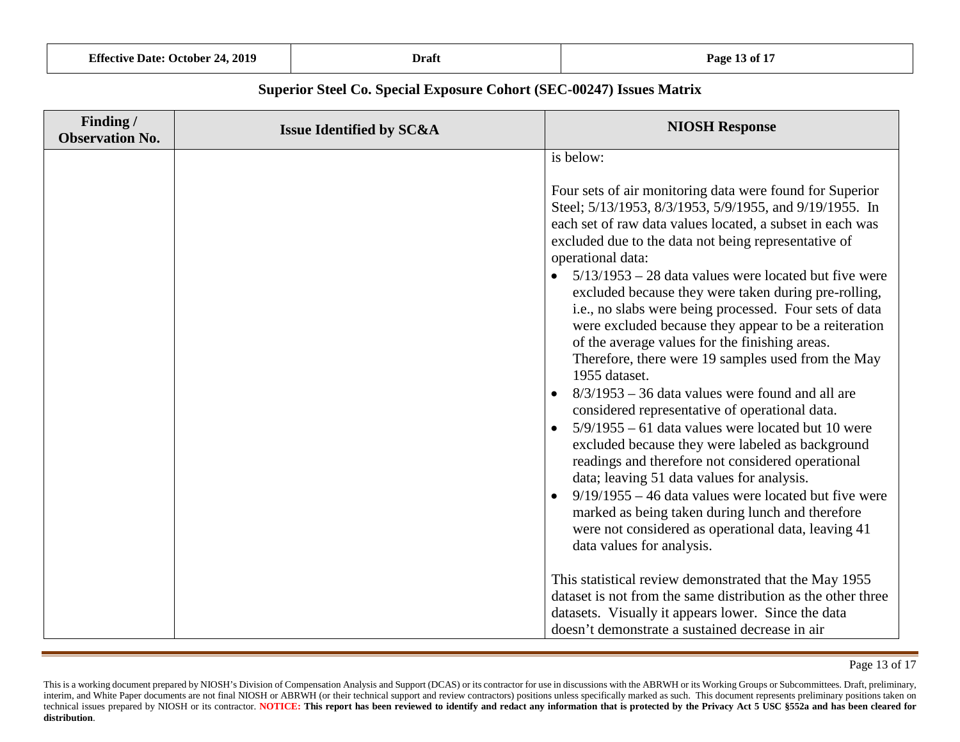| <b>Effective Date: October 24, 2019</b><br>Draft |
|--------------------------------------------------|
|--------------------------------------------------|

| Finding /<br><b>Observation No.</b> | <b>Issue Identified by SC&amp;A</b> | <b>NIOSH Response</b>                                                                                                                                                                                                                                                                                                                                                                                                                                                                                                                                                                                                                                                                                                                                                                                                                                                                                                                                                                                                                                                                                                                                                                         |
|-------------------------------------|-------------------------------------|-----------------------------------------------------------------------------------------------------------------------------------------------------------------------------------------------------------------------------------------------------------------------------------------------------------------------------------------------------------------------------------------------------------------------------------------------------------------------------------------------------------------------------------------------------------------------------------------------------------------------------------------------------------------------------------------------------------------------------------------------------------------------------------------------------------------------------------------------------------------------------------------------------------------------------------------------------------------------------------------------------------------------------------------------------------------------------------------------------------------------------------------------------------------------------------------------|
|                                     |                                     | is below:<br>Four sets of air monitoring data were found for Superior<br>Steel; 5/13/1953, 8/3/1953, 5/9/1955, and 9/19/1955. In<br>each set of raw data values located, a subset in each was<br>excluded due to the data not being representative of<br>operational data:<br>$5/13/1953 - 28$ data values were located but five were<br>$\bullet$<br>excluded because they were taken during pre-rolling,<br>i.e., no slabs were being processed. Four sets of data<br>were excluded because they appear to be a reiteration<br>of the average values for the finishing areas.<br>Therefore, there were 19 samples used from the May<br>1955 dataset.<br>$8/3/1953 - 36$ data values were found and all are<br>considered representative of operational data.<br>$5/9/1955 - 61$ data values were located but 10 were<br>excluded because they were labeled as background<br>readings and therefore not considered operational<br>data; leaving 51 data values for analysis.<br>$9/19/1955 - 46$ data values were located but five were<br>$\bullet$<br>marked as being taken during lunch and therefore<br>were not considered as operational data, leaving 41<br>data values for analysis. |
|                                     |                                     | This statistical review demonstrated that the May 1955<br>dataset is not from the same distribution as the other three<br>datasets. Visually it appears lower. Since the data<br>doesn't demonstrate a sustained decrease in air                                                                                                                                                                                                                                                                                                                                                                                                                                                                                                                                                                                                                                                                                                                                                                                                                                                                                                                                                              |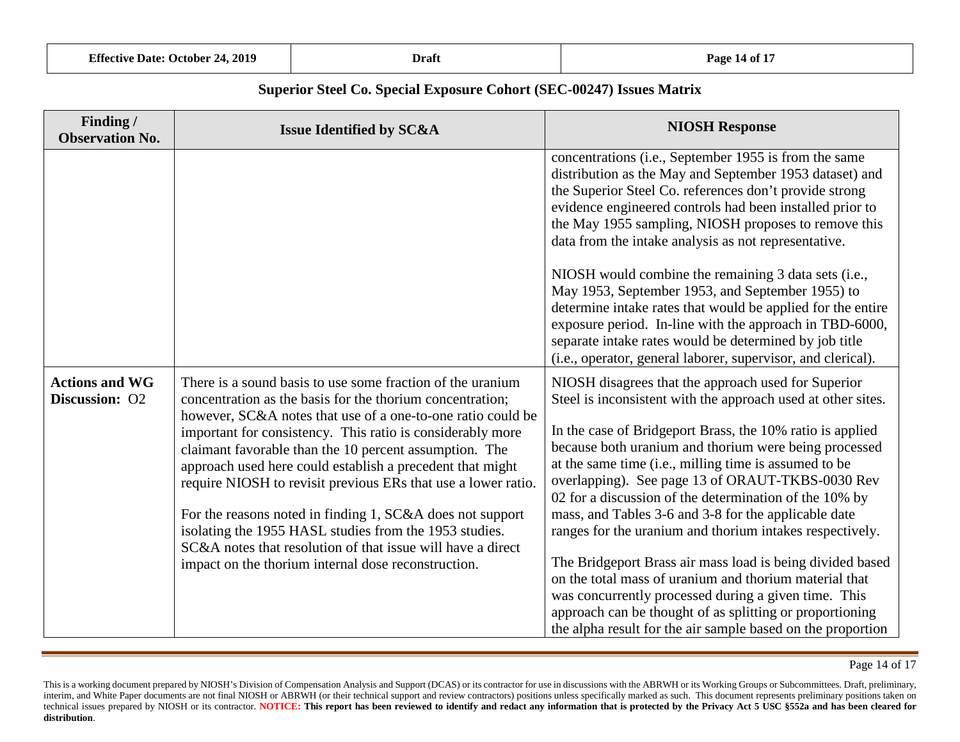| <b>Effective Date: October 24, 2019</b> | Draft | Page 14 of 17 |
|-----------------------------------------|-------|---------------|
|-----------------------------------------|-------|---------------|

| Finding /<br><b>Observation No.</b>     | <b>Issue Identified by SC&amp;A</b>                                                                                                                                                                                                                                                                                                                                                                                                                                                                                                                                                                                                                                                       | <b>NIOSH Response</b>                                                                                                                                                                                                                                                                                                                                                                                                                                                                                                                                                                                                                                                                                                                                                                                                                          |
|-----------------------------------------|-------------------------------------------------------------------------------------------------------------------------------------------------------------------------------------------------------------------------------------------------------------------------------------------------------------------------------------------------------------------------------------------------------------------------------------------------------------------------------------------------------------------------------------------------------------------------------------------------------------------------------------------------------------------------------------------|------------------------------------------------------------------------------------------------------------------------------------------------------------------------------------------------------------------------------------------------------------------------------------------------------------------------------------------------------------------------------------------------------------------------------------------------------------------------------------------------------------------------------------------------------------------------------------------------------------------------------------------------------------------------------------------------------------------------------------------------------------------------------------------------------------------------------------------------|
|                                         |                                                                                                                                                                                                                                                                                                                                                                                                                                                                                                                                                                                                                                                                                           | concentrations (i.e., September 1955 is from the same<br>distribution as the May and September 1953 dataset) and<br>the Superior Steel Co. references don't provide strong<br>evidence engineered controls had been installed prior to<br>the May 1955 sampling, NIOSH proposes to remove this<br>data from the intake analysis as not representative.                                                                                                                                                                                                                                                                                                                                                                                                                                                                                         |
|                                         |                                                                                                                                                                                                                                                                                                                                                                                                                                                                                                                                                                                                                                                                                           | NIOSH would combine the remaining 3 data sets (i.e.,<br>May 1953, September 1953, and September 1955) to<br>determine intake rates that would be applied for the entire<br>exposure period. In-line with the approach in TBD-6000,<br>separate intake rates would be determined by job title<br>(i.e., operator, general laborer, supervisor, and clerical).                                                                                                                                                                                                                                                                                                                                                                                                                                                                                   |
| <b>Actions and WG</b><br>Discussion: O2 | There is a sound basis to use some fraction of the uranium<br>concentration as the basis for the thorium concentration;<br>however, SC&A notes that use of a one-to-one ratio could be<br>important for consistency. This ratio is considerably more<br>claimant favorable than the 10 percent assumption. The<br>approach used here could establish a precedent that might<br>require NIOSH to revisit previous ERs that use a lower ratio.<br>For the reasons noted in finding 1, SC&A does not support<br>isolating the 1955 HASL studies from the 1953 studies.<br>SC&A notes that resolution of that issue will have a direct<br>impact on the thorium internal dose reconstruction. | NIOSH disagrees that the approach used for Superior<br>Steel is inconsistent with the approach used at other sites.<br>In the case of Bridgeport Brass, the 10% ratio is applied<br>because both uranium and thorium were being processed<br>at the same time (i.e., milling time is assumed to be<br>overlapping). See page 13 of ORAUT-TKBS-0030 Rev<br>02 for a discussion of the determination of the 10% by<br>mass, and Tables 3-6 and 3-8 for the applicable date<br>ranges for the uranium and thorium intakes respectively.<br>The Bridgeport Brass air mass load is being divided based<br>on the total mass of uranium and thorium material that<br>was concurrently processed during a given time. This<br>approach can be thought of as splitting or proportioning<br>the alpha result for the air sample based on the proportion |

Page 14 of 17

This is a working document prepared by NIOSH's Division of Compensation Analysis and Support (DCAS) or its contractor for use in discussions with the ABRWH or its Working Groups or Subcommittees. Draft, preliminary, interim, and White Paper documents are not final NIOSH or ABRWH (or their technical support and review contractors) positions unless specifically marked as such. This document represents preliminary positions taken on technical issues prepared by NIOSH or its contractor. NOTICE: This report has been reviewed to identify and redact any information that is protected by the Privacy Act 5 USC \$552a and has been cleared for **distribution**.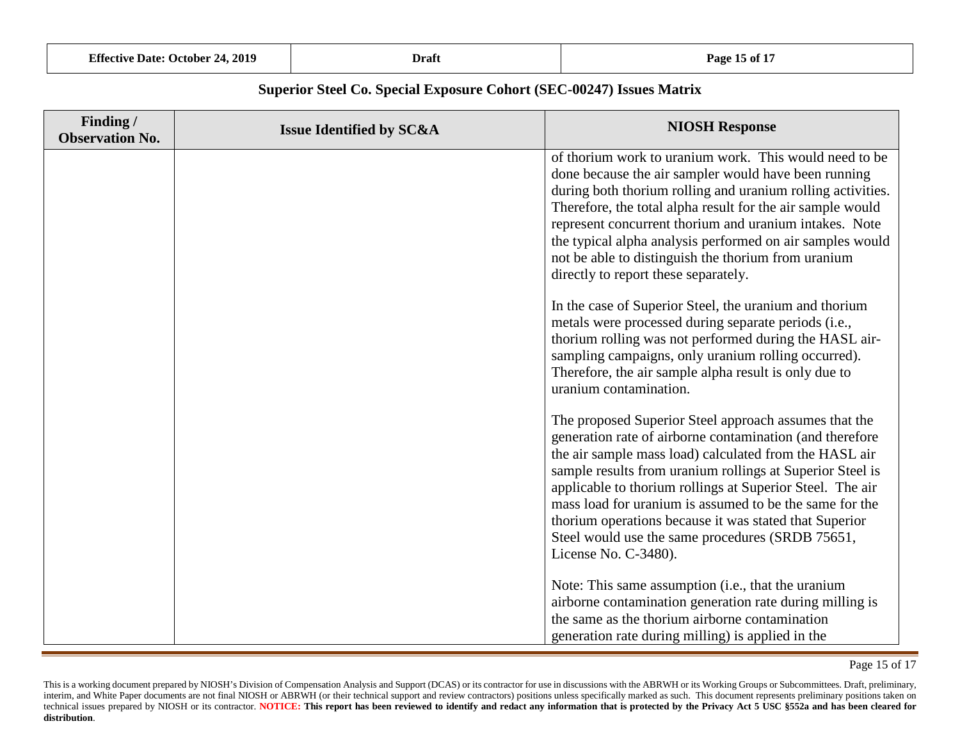| <b>Effective Date: October 24, 2019</b> | Draft | Page 15 of 17 |
|-----------------------------------------|-------|---------------|
|-----------------------------------------|-------|---------------|

| Finding /<br><b>Observation No.</b> | <b>Issue Identified by SC&amp;A</b> | <b>NIOSH Response</b>                                                                                                                                                                                                                                                                                                                                                                                                                                                                                  |
|-------------------------------------|-------------------------------------|--------------------------------------------------------------------------------------------------------------------------------------------------------------------------------------------------------------------------------------------------------------------------------------------------------------------------------------------------------------------------------------------------------------------------------------------------------------------------------------------------------|
|                                     |                                     | of thorium work to uranium work. This would need to be<br>done because the air sampler would have been running<br>during both thorium rolling and uranium rolling activities.<br>Therefore, the total alpha result for the air sample would<br>represent concurrent thorium and uranium intakes. Note<br>the typical alpha analysis performed on air samples would<br>not be able to distinguish the thorium from uranium<br>directly to report these separately.                                      |
|                                     |                                     | In the case of Superior Steel, the uranium and thorium<br>metals were processed during separate periods (i.e.,<br>thorium rolling was not performed during the HASL air-<br>sampling campaigns, only uranium rolling occurred).<br>Therefore, the air sample alpha result is only due to<br>uranium contamination.                                                                                                                                                                                     |
|                                     |                                     | The proposed Superior Steel approach assumes that the<br>generation rate of airborne contamination (and therefore<br>the air sample mass load) calculated from the HASL air<br>sample results from uranium rollings at Superior Steel is<br>applicable to thorium rollings at Superior Steel. The air<br>mass load for uranium is assumed to be the same for the<br>thorium operations because it was stated that Superior<br>Steel would use the same procedures (SRDB 75651,<br>License No. C-3480). |
|                                     |                                     | Note: This same assumption (i.e., that the uranium<br>airborne contamination generation rate during milling is<br>the same as the thorium airborne contamination<br>generation rate during milling) is applied in the                                                                                                                                                                                                                                                                                  |

Page 15 of 17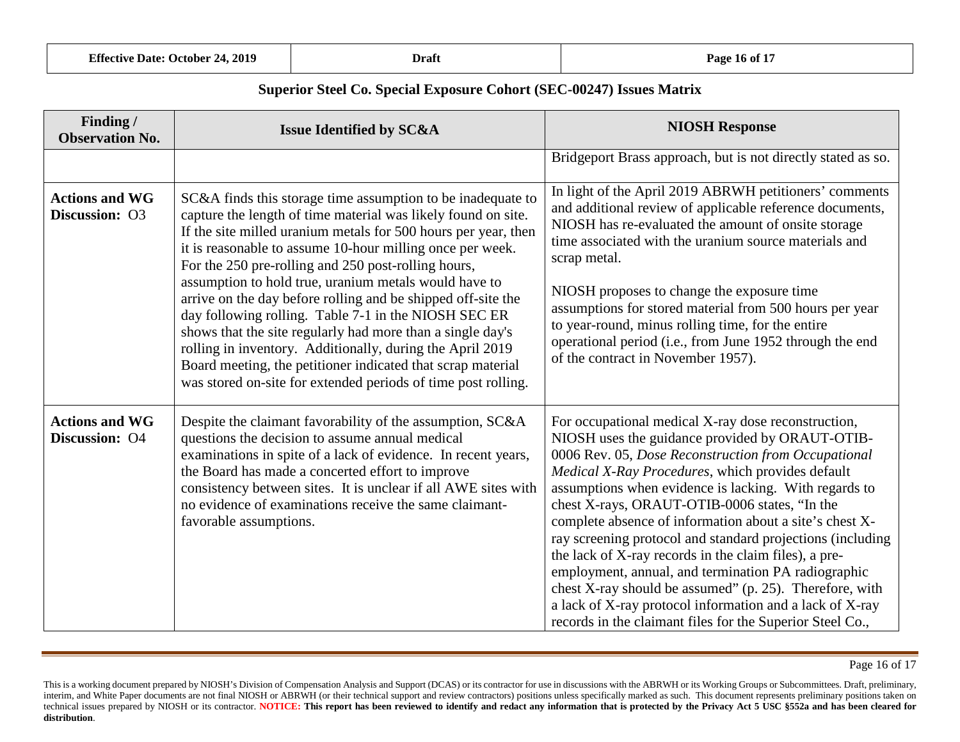| <b>Effective Date: October 24, 2019</b> | Draft | Page 16 of 17 |
|-----------------------------------------|-------|---------------|
|-----------------------------------------|-------|---------------|

| Finding /<br><b>Observation No.</b>     | <b>Issue Identified by SC&amp;A</b>                                                                                                                                                                                                                                                                                                                                                                                                                                                                                                                                                                                                                                                                                                                            | <b>NIOSH Response</b>                                                                                                                                                                                                                                                                                                                                                                                                                                                                                                                                                                                                                                                                                                                                    |
|-----------------------------------------|----------------------------------------------------------------------------------------------------------------------------------------------------------------------------------------------------------------------------------------------------------------------------------------------------------------------------------------------------------------------------------------------------------------------------------------------------------------------------------------------------------------------------------------------------------------------------------------------------------------------------------------------------------------------------------------------------------------------------------------------------------------|----------------------------------------------------------------------------------------------------------------------------------------------------------------------------------------------------------------------------------------------------------------------------------------------------------------------------------------------------------------------------------------------------------------------------------------------------------------------------------------------------------------------------------------------------------------------------------------------------------------------------------------------------------------------------------------------------------------------------------------------------------|
|                                         |                                                                                                                                                                                                                                                                                                                                                                                                                                                                                                                                                                                                                                                                                                                                                                | Bridgeport Brass approach, but is not directly stated as so.                                                                                                                                                                                                                                                                                                                                                                                                                                                                                                                                                                                                                                                                                             |
| <b>Actions and WG</b><br>Discussion: O3 | SC&A finds this storage time assumption to be inadequate to<br>capture the length of time material was likely found on site.<br>If the site milled uranium metals for 500 hours per year, then<br>it is reasonable to assume 10-hour milling once per week.<br>For the 250 pre-rolling and 250 post-rolling hours,<br>assumption to hold true, uranium metals would have to<br>arrive on the day before rolling and be shipped off-site the<br>day following rolling. Table 7-1 in the NIOSH SEC ER<br>shows that the site regularly had more than a single day's<br>rolling in inventory. Additionally, during the April 2019<br>Board meeting, the petitioner indicated that scrap material<br>was stored on-site for extended periods of time post rolling. | In light of the April 2019 ABRWH petitioners' comments<br>and additional review of applicable reference documents,<br>NIOSH has re-evaluated the amount of onsite storage<br>time associated with the uranium source materials and<br>scrap metal.<br>NIOSH proposes to change the exposure time<br>assumptions for stored material from 500 hours per year<br>to year-round, minus rolling time, for the entire<br>operational period (i.e., from June 1952 through the end<br>of the contract in November 1957).                                                                                                                                                                                                                                       |
| <b>Actions and WG</b><br>Discussion: O4 | Despite the claimant favorability of the assumption, SC&A<br>questions the decision to assume annual medical<br>examinations in spite of a lack of evidence. In recent years,<br>the Board has made a concerted effort to improve<br>consistency between sites. It is unclear if all AWE sites with<br>no evidence of examinations receive the same claimant-<br>favorable assumptions.                                                                                                                                                                                                                                                                                                                                                                        | For occupational medical X-ray dose reconstruction,<br>NIOSH uses the guidance provided by ORAUT-OTIB-<br>0006 Rev. 05, Dose Reconstruction from Occupational<br>Medical X-Ray Procedures, which provides default<br>assumptions when evidence is lacking. With regards to<br>chest X-rays, ORAUT-OTIB-0006 states, "In the<br>complete absence of information about a site's chest X-<br>ray screening protocol and standard projections (including<br>the lack of X-ray records in the claim files), a pre-<br>employment, annual, and termination PA radiographic<br>chest X-ray should be assumed" (p. 25). Therefore, with<br>a lack of X-ray protocol information and a lack of X-ray<br>records in the claimant files for the Superior Steel Co., |

This is a working document prepared by NIOSH's Division of Compensation Analysis and Support (DCAS) or its contractor for use in discussions with the ABRWH or its Working Groups or Subcommittees. Draft, preliminary, interim, and White Paper documents are not final NIOSH or ABRWH (or their technical support and review contractors) positions unless specifically marked as such. This document represents preliminary positions taken on technical issues prepared by NIOSH or its contractor. NOTICE: This report has been reviewed to identify and redact any information that is protected by the Privacy Act 5 USC \$552a and has been cleared for **distribution**.